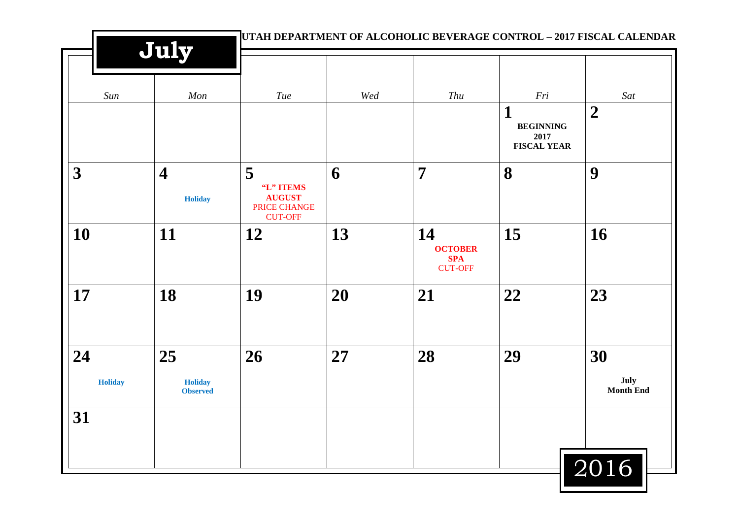| July                                      |                                                 |                |                                                      |                              | UTAH DEPARTMENT OF ALCOHOLIC BEVERAGE CONTROL - 2017 FISCAL CALENDAR |  |  |
|-------------------------------------------|-------------------------------------------------|----------------|------------------------------------------------------|------------------------------|----------------------------------------------------------------------|--|--|
| Mon                                       | Tue                                             | $\mathit{Wed}$ | Thu                                                  | Fri<br>1<br><b>BEGINNING</b> | Sat<br>$\overline{2}$                                                |  |  |
| $\overline{\mathbf{4}}$<br><b>Holiday</b> | 5<br>"L" ITEMS<br><b>AUGUST</b><br>PRICE CHANGE | 6              | $\overline{7}$                                       | <b>FISCAL YEAR</b><br>8      | 9                                                                    |  |  |
| 11                                        | 12                                              | 13             | 14<br><b>OCTOBER</b><br><b>SPA</b><br><b>CUT-OFF</b> | 15                           | 16                                                                   |  |  |
| 18                                        | 19                                              | 20             | 21                                                   | 22                           | 23                                                                   |  |  |
| 25<br><b>Holiday</b><br><b>Observed</b>   | 26                                              | 27             | 28                                                   | 29                           | 30<br>July<br><b>Month End</b>                                       |  |  |
|                                           |                                                 |                |                                                      |                              | 2016                                                                 |  |  |
|                                           |                                                 | <b>CUT-OFF</b> |                                                      |                              | 2017                                                                 |  |  |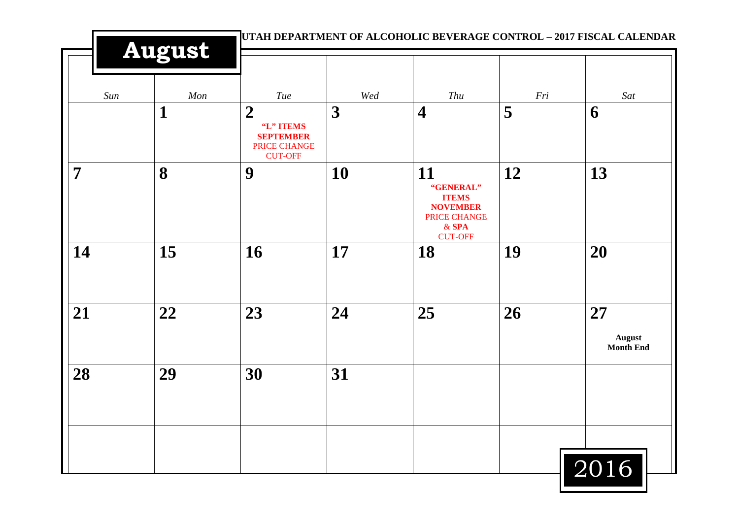|     | <b>August</b> |                                                                                     | UTAH DEPARTMENT OF ALCOHOLIC BEVERAGE CONTROL - 2017 FISCAL CALENDAR |                                                                                                 |                |                                         |  |
|-----|---------------|-------------------------------------------------------------------------------------|----------------------------------------------------------------------|-------------------------------------------------------------------------------------------------|----------------|-----------------------------------------|--|
| Sun | Mon           | Tue                                                                                 | $W\!ed$                                                              | ${\it Thu}$                                                                                     | $\mathit{Fri}$ | Sat                                     |  |
|     | $\mathbf{1}$  | $\boldsymbol{2}$<br>"L" ITEMS<br><b>SEPTEMBER</b><br>PRICE CHANGE<br><b>CUT-OFF</b> | 3                                                                    | $\overline{\mathbf{4}}$                                                                         | 5              | 6                                       |  |
| 7   | 8             | 9                                                                                   | 10                                                                   | 11<br>"GENERAL"<br><b>ITEMS</b><br><b>NOVEMBER</b><br>PRICE CHANGE<br>$&$ SPA<br><b>CUT-OFF</b> | 12             | 13                                      |  |
| 14  | 15            | 16                                                                                  | 17                                                                   | 18                                                                                              | 19             | 20                                      |  |
| 21  | 22            | 23                                                                                  | 24                                                                   | 25                                                                                              | 26             | 27<br><b>August</b><br><b>Month End</b> |  |
| 28  | 29            | 30                                                                                  | 31                                                                   |                                                                                                 |                |                                         |  |
|     |               |                                                                                     |                                                                      |                                                                                                 |                | $\sqrt{2016}$                           |  |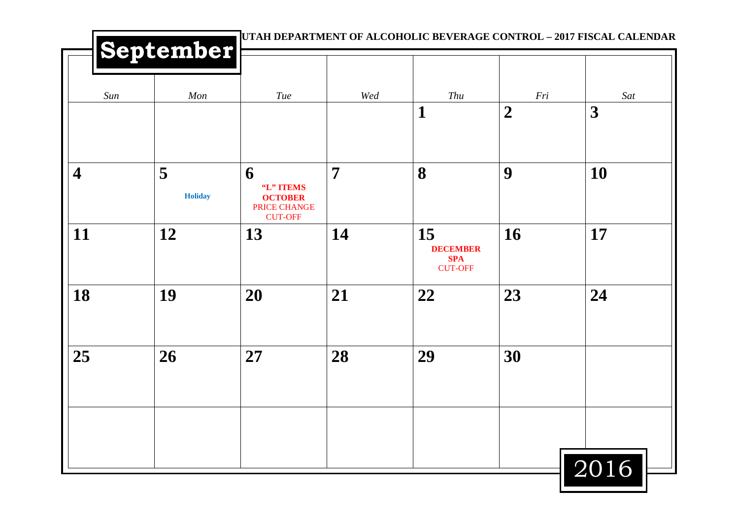|                         | September           |                                                                    |                | UTAH DEPARTMENT OF ALCOHOLIC BEVERAGE CONTROL - 2017 FISCAL CALENDAR |                         |          |
|-------------------------|---------------------|--------------------------------------------------------------------|----------------|----------------------------------------------------------------------|-------------------------|----------|
| Sun                     | Mon                 | Tue                                                                | Wed            | Thu<br>$\mathbf 1$                                                   | Fri<br>$\boldsymbol{2}$ | Sat<br>3 |
|                         |                     |                                                                    |                |                                                                      |                         |          |
| $\overline{\mathbf{4}}$ | 5<br><b>Holiday</b> | 6<br>"L" ITEMS<br><b>OCTOBER</b><br>PRICE CHANGE<br><b>CUT-OFF</b> | $\overline{7}$ | 8                                                                    | 9                       | 10       |
| 11                      | 12                  | 13                                                                 | 14             | 15<br><b>DECEMBER</b><br><b>SPA</b><br><b>CUT-OFF</b>                | <b>16</b>               | 17       |
| 18                      | 19                  | 20                                                                 | 21             | 22                                                                   | 23                      | 24       |
| 25                      | 26                  | 27                                                                 | 28             | 29                                                                   | 30                      |          |
|                         |                     |                                                                    |                |                                                                      |                         | 2016     |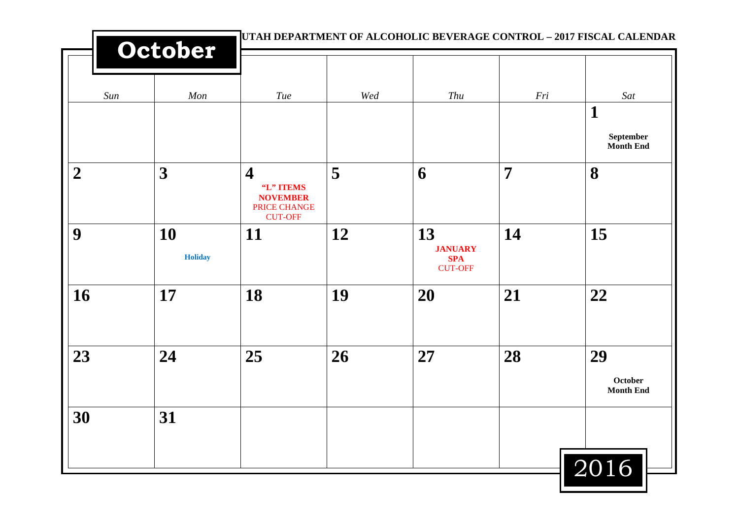|                  | UTAH DEPARTMENT OF ALCOHOLIC BEVERAGE CONTROL - 2017 FISCAL CALENDAR<br>October |                                                                                           |     |                                                      |                |                                                     |
|------------------|---------------------------------------------------------------------------------|-------------------------------------------------------------------------------------------|-----|------------------------------------------------------|----------------|-----------------------------------------------------|
| Sun              | Mon                                                                             | Tue                                                                                       | Wed | Thu                                                  | Fri            | Sat<br>$\mathbf 1$<br>September<br><b>Month End</b> |
| $\boldsymbol{2}$ | $\boldsymbol{3}$                                                                | $\overline{\mathbf{4}}$<br>"L" ITEMS<br><b>NOVEMBER</b><br>PRICE CHANGE<br><b>CUT-OFF</b> | 5   | 6                                                    | $\overline{7}$ | 8                                                   |
| 9                | 10<br><b>Holiday</b>                                                            | <b>11</b>                                                                                 | 12  | 13<br><b>JANUARY</b><br><b>SPA</b><br><b>CUT-OFF</b> | 14             | 15                                                  |
| 16               | 17                                                                              | 18                                                                                        | 19  | 20                                                   | 21             | 22                                                  |
| 23               | 24                                                                              | 25                                                                                        | 26  | 27                                                   | 28             | 29<br>October<br><b>Month End</b>                   |
| 30               | 31                                                                              |                                                                                           |     |                                                      |                | 2016                                                |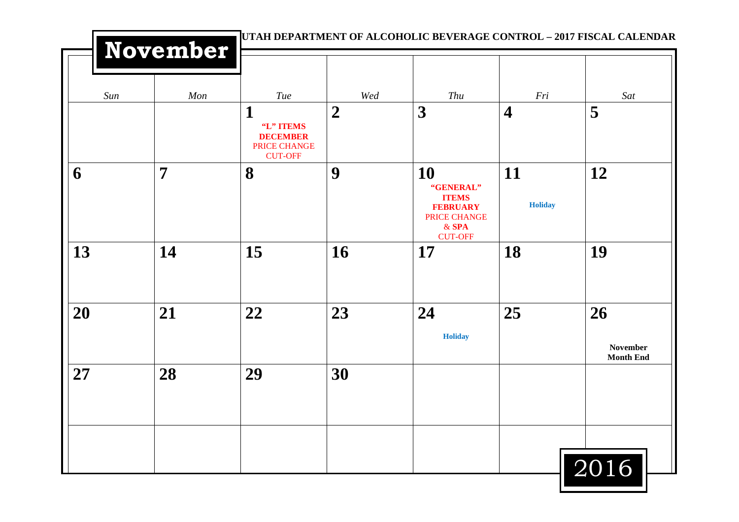|     | November |                                                                     |                |                                                                                                 |                         | UTAH DEPARTMENT OF ALCOHOLIC BEVERAGE CONTROL - 2017 FISCAL CALENDAR |
|-----|----------|---------------------------------------------------------------------|----------------|-------------------------------------------------------------------------------------------------|-------------------------|----------------------------------------------------------------------|
| Sun | Mon      | Tue                                                                 | $W\!ed$        | Thu                                                                                             | $\mathit{Fri}$          | Sat                                                                  |
|     |          | 1<br>"L" ITEMS<br><b>DECEMBER</b><br>PRICE CHANGE<br><b>CUT-OFF</b> | $\overline{2}$ | 3                                                                                               | $\overline{\mathbf{4}}$ | 5                                                                    |
| 6   | 7        | 8                                                                   | 9              | 10<br>"GENERAL"<br><b>ITEMS</b><br><b>FEBRUARY</b><br>PRICE CHANGE<br>$&$ SPA<br><b>CUT-OFF</b> | 11<br><b>Holiday</b>    | 12                                                                   |
| 13  | 14       | 15                                                                  | 16             | 17                                                                                              | 18                      | 19                                                                   |
| 20  | 21       | 22                                                                  | 23             | 24<br><b>Holiday</b>                                                                            | 25                      | 26<br><b>November</b><br><b>Month End</b>                            |
| 27  | 28       | 29                                                                  | 30             |                                                                                                 |                         |                                                                      |
|     |          |                                                                     |                |                                                                                                 |                         | 2016                                                                 |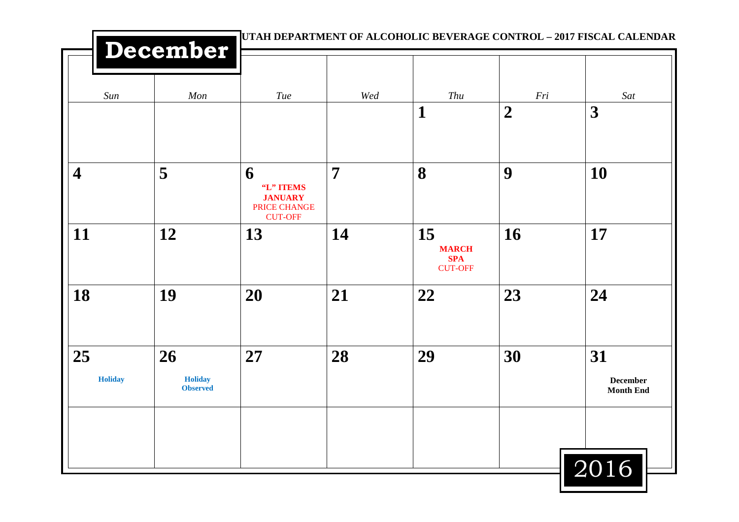|                         |                                         |                                                                    | UTAH DEPARTMENT OF ALCOHOLIC BEVERAGE CONTROL - 2017 FISCAL CALENDAR |                                                    |                         |                                           |  |  |  |
|-------------------------|-----------------------------------------|--------------------------------------------------------------------|----------------------------------------------------------------------|----------------------------------------------------|-------------------------|-------------------------------------------|--|--|--|
|                         | December                                |                                                                    |                                                                      |                                                    |                         |                                           |  |  |  |
| Sun                     | Mon                                     | Tue                                                                | Wed                                                                  | Thu<br>$\mathbf 1$                                 | Fri<br>$\boldsymbol{2}$ | Sat<br>3                                  |  |  |  |
| $\overline{\mathbf{4}}$ | 5                                       | 6<br>"L" ITEMS<br><b>JANUARY</b><br>PRICE CHANGE<br><b>CUT-OFF</b> | $\overline{7}$                                                       | 8                                                  | 9                       | 10                                        |  |  |  |
| 11                      | 12                                      | 13                                                                 | 14                                                                   | 15<br><b>MARCH</b><br><b>SPA</b><br><b>CUT-OFF</b> | 16                      | 17                                        |  |  |  |
| 18                      | 19                                      | 20                                                                 | 21                                                                   | 22                                                 | 23                      | 24                                        |  |  |  |
| 25<br><b>Holiday</b>    | 26<br><b>Holiday</b><br><b>Observed</b> | 27                                                                 | 28                                                                   | 29                                                 | 30                      | 31<br><b>December</b><br><b>Month End</b> |  |  |  |
|                         |                                         |                                                                    |                                                                      |                                                    |                         | 2016                                      |  |  |  |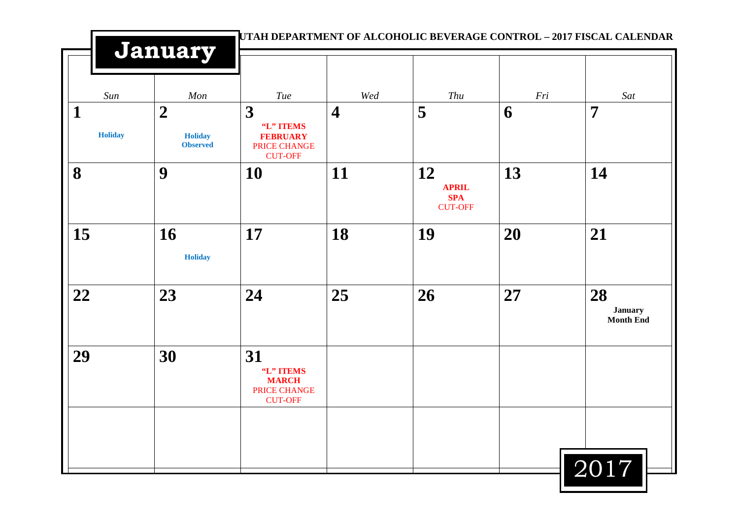|                     | January                                             |                                                                     |                         |                                                    | UTAH DEPARTMENT OF ALCOHOLIC BEVERAGE CONTROL - 2017 FISCAL CALENDAR |                                          |
|---------------------|-----------------------------------------------------|---------------------------------------------------------------------|-------------------------|----------------------------------------------------|----------------------------------------------------------------------|------------------------------------------|
| Sun                 | Mon                                                 | Tue                                                                 | Wed                     | Thu                                                | Fri                                                                  | Sat                                      |
| 1<br><b>Holiday</b> | $\overline{2}$<br><b>Holiday</b><br><b>Observed</b> | 3<br>"L" ITEMS<br><b>FEBRUARY</b><br>PRICE CHANGE<br><b>CUT-OFF</b> | $\overline{\mathbf{4}}$ | 5                                                  | 6                                                                    | $\overline{7}$                           |
| 8                   | 9                                                   | 10                                                                  | 11                      | 12<br><b>APRIL</b><br><b>SPA</b><br><b>CUT-OFF</b> | 13                                                                   | 14                                       |
| 15                  | 16<br><b>Holiday</b>                                | 17                                                                  | 18                      | 19                                                 | 20                                                                   | 21                                       |
| 22                  | 23                                                  | 24                                                                  | 25                      | 26                                                 | 27                                                                   | 28<br><b>January</b><br><b>Month End</b> |
| 29                  | 30                                                  | 31<br>"L" ITEMS<br><b>MARCH</b><br>PRICE CHANGE<br><b>CUT-OFF</b>   |                         |                                                    |                                                                      |                                          |
|                     |                                                     |                                                                     |                         |                                                    |                                                                      | 2017                                     |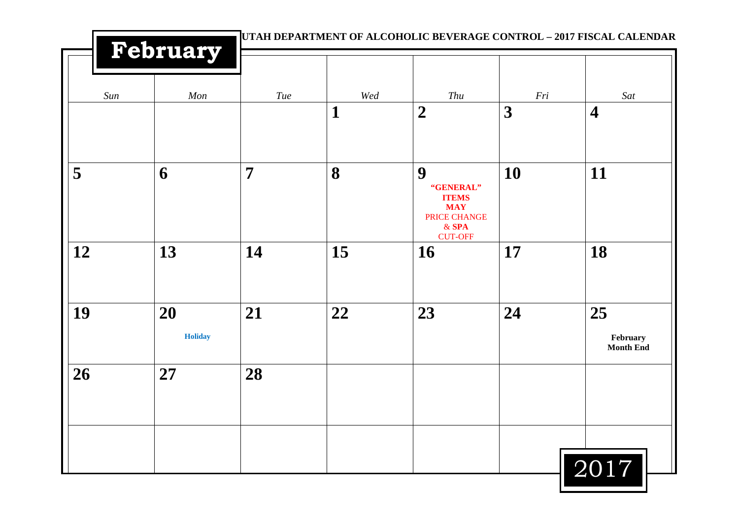|     |                      |                |         |                                                                                           |                | UTAH DEPARTMENT OF ALCOHOLIC BEVERAGE CONTROL - 2017 FISCAL CALENDAR |
|-----|----------------------|----------------|---------|-------------------------------------------------------------------------------------------|----------------|----------------------------------------------------------------------|
|     | February             |                |         |                                                                                           |                |                                                                      |
| Sun | Mon                  | Tue            | $W\!ed$ | Thu                                                                                       | $\mathit{Fri}$ | Sat                                                                  |
|     |                      |                | 1       | $\boldsymbol{2}$                                                                          | 3              | $\overline{\mathbf{4}}$                                              |
| 5   | 6                    | $\overline{7}$ | 8       | 9<br>"GENERAL"<br><b>ITEMS</b><br><b>MAY</b><br>PRICE CHANGE<br>$&$ SPA<br><b>CUT-OFF</b> | 10             | 11                                                                   |
| 12  | 13                   | 14             | 15      | <b>16</b>                                                                                 | 17             | 18                                                                   |
| 19  | 20<br><b>Holiday</b> | 21             | 22      | 23                                                                                        | 24             | 25<br>February<br><b>Month End</b>                                   |
| 26  | 27                   | 28             |         |                                                                                           |                |                                                                      |
|     |                      |                |         |                                                                                           |                | 2017                                                                 |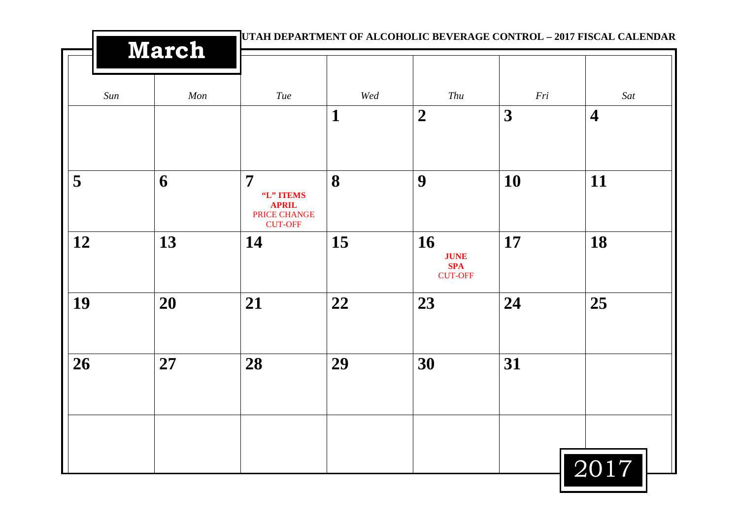|     | <b>March</b> |                                                                  | UTAH DEPARTMENT OF ALCOHOLIC BEVERAGE CONTROL - 2017 FISCAL CALENDAR |                                                          |                  |                         |
|-----|--------------|------------------------------------------------------------------|----------------------------------------------------------------------|----------------------------------------------------------|------------------|-------------------------|
| Sun | Mon          | Tue                                                              | Wed                                                                  | Thu                                                      | Fri              | Sat                     |
|     |              |                                                                  | $\mathbf{1}$                                                         | $\boldsymbol{2}$                                         | $\boldsymbol{3}$ | $\overline{\mathbf{4}}$ |
| 5   | 6            | 7<br>"L" ITEMS<br><b>APRIL</b><br>PRICE CHANGE<br><b>CUT-OFF</b> | 8                                                                    | 9                                                        | 10               | 11                      |
| 12  | 13           | 14                                                               | 15                                                                   | <b>16</b><br><b>JUNE</b><br><b>SPA</b><br><b>CUT-OFF</b> | 17               | 18                      |
| 19  | 20           | 21                                                               | 22                                                                   | 23                                                       | 24               | 25                      |
| 26  | 27           | 28                                                               | 29                                                                   | 30                                                       | 31               |                         |
|     |              |                                                                  |                                                                      |                                                          |                  | 2017                    |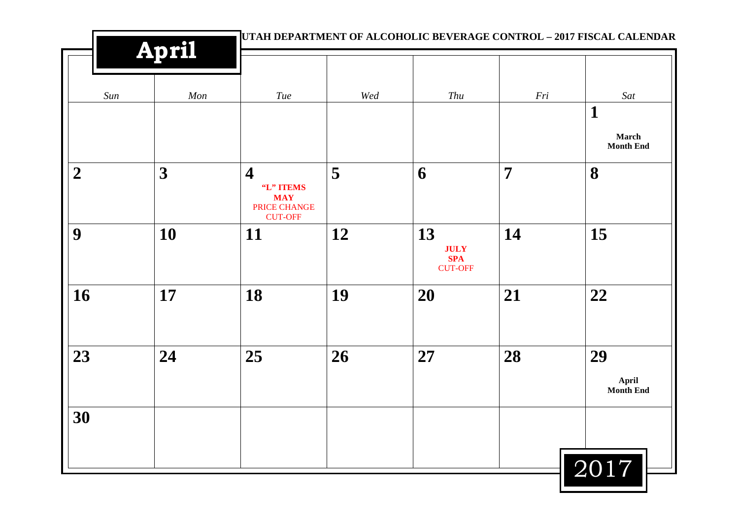|                  |                |                                                                                      | UTAH DEPARTMENT OF ALCOHOLIC BEVERAGE CONTROL - 2017 FISCAL CALENDAR |                                                   |                |                                 |  |  |
|------------------|----------------|--------------------------------------------------------------------------------------|----------------------------------------------------------------------|---------------------------------------------------|----------------|---------------------------------|--|--|
|                  | <b>April</b>   |                                                                                      |                                                                      |                                                   |                |                                 |  |  |
| Sun              | $\mathit{Mon}$ | $\mathit{True}$                                                                      | $\mathit{Wed}$                                                       | $\mathit{Thu}$                                    | $\mathit{Fri}$ | Sat                             |  |  |
|                  |                |                                                                                      |                                                                      |                                                   |                | $\mathbf{1}$                    |  |  |
|                  |                |                                                                                      |                                                                      |                                                   |                | March<br><b>Month End</b>       |  |  |
| $\boldsymbol{2}$ | 3              | $\overline{\mathbf{4}}$<br>"L" ITEMS<br><b>MAY</b><br>PRICE CHANGE<br><b>CUT-OFF</b> | 5                                                                    | 6                                                 | $\overline{7}$ | 8                               |  |  |
| 9                | 10             | 11                                                                                   | 12                                                                   | 13<br><b>JULY</b><br><b>SPA</b><br><b>CUT-OFF</b> | 14             | 15                              |  |  |
| 16               | 17             | 18                                                                                   | 19                                                                   | 20                                                | 21             | 22                              |  |  |
| 23               | 24             | 25                                                                                   | 26                                                                   | 27                                                | 28             | 29<br>April<br><b>Month End</b> |  |  |
| 30               |                |                                                                                      |                                                                      |                                                   |                |                                 |  |  |
|                  |                |                                                                                      |                                                                      |                                                   |                | 2017                            |  |  |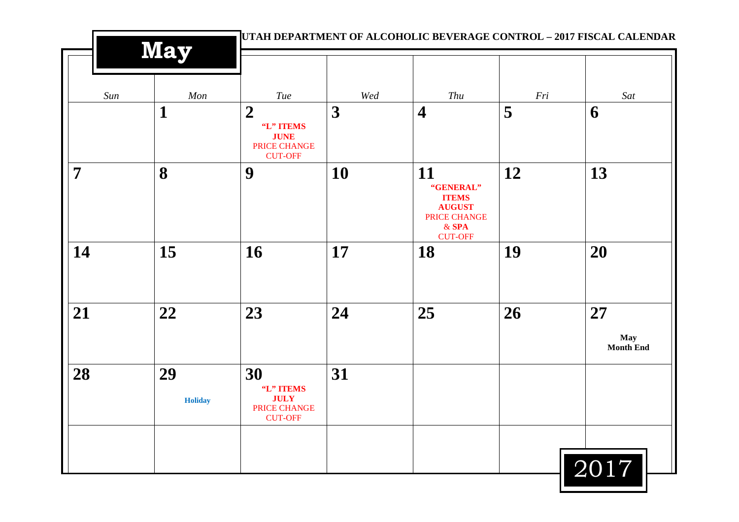|                | <b>May</b>           |                                                                                |         |                                                                                               |     | UTAH DEPARTMENT OF ALCOHOLIC BEVERAGE CONTROL - 2017 FISCAL CALENDAR |  |  |
|----------------|----------------------|--------------------------------------------------------------------------------|---------|-----------------------------------------------------------------------------------------------|-----|----------------------------------------------------------------------|--|--|
| Sun            | Mon                  | Tue                                                                            | $W\!ed$ | Thu                                                                                           | Fri | Sat                                                                  |  |  |
|                | $\mathbf 1$          | $\boldsymbol{2}$<br>"L" ITEMS<br><b>JUNE</b><br>PRICE CHANGE<br><b>CUT-OFF</b> | 3       | $\overline{\mathbf{4}}$                                                                       | 5   | 6                                                                    |  |  |
| $\overline{7}$ | 8                    | 9                                                                              | 10      | 11<br>"GENERAL"<br><b>ITEMS</b><br><b>AUGUST</b><br>PRICE CHANGE<br>$&$ SPA<br><b>CUT-OFF</b> | 12  | 13                                                                   |  |  |
| 14             | 15                   | 16                                                                             | 17      | 18                                                                                            | 19  | 20                                                                   |  |  |
| 21             | 22                   | 23                                                                             | 24      | 25                                                                                            | 26  | 27<br>May<br><b>Month End</b>                                        |  |  |
| 28             | 29<br><b>Holiday</b> | 30<br>"L" ITEMS<br><b>JULY</b><br>PRICE CHANGE<br><b>CUT-OFF</b>               | 31      |                                                                                               |     |                                                                      |  |  |
|                |                      |                                                                                |         |                                                                                               |     | 2017                                                                 |  |  |